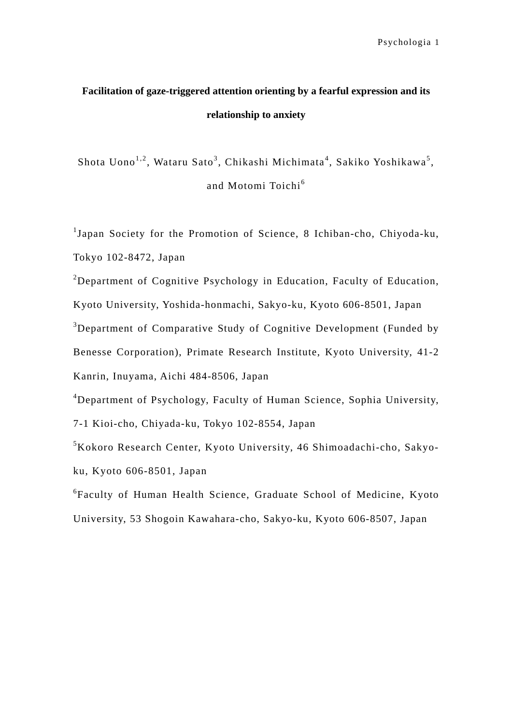## **Facilitation of gaze-triggered attention orienting by a fearful expression and its relationship to anxiety**

Shota Uono $^{1,2}$ , Wataru Sato $^3$ , Chikashi Michimata $^4$ , Sakiko Yoshikawa $^5$ , and Motomi Toichi<sup>6</sup>

<sup>1</sup>Japan Society for the Promotion of Science, 8 Ichiban-cho, Chiyoda-ku, Tokyo 102-8472, Japan

<sup>2</sup>Department of Cognitive Psychology in Education, Faculty of Education,

Kyoto University, Yoshida-honmachi, Sakyo-ku, Kyoto 606-8501, Japan

<sup>3</sup>Department of Comparative Study of Cognitive Development (Funded by

Benesse Corporation), Primate Research Institute, Kyoto University, 41-2

Kanrin, Inuyama, Aichi 484-8506, Japan

4 Department of Psychology, Faculty of Human Science, Sophia University,

7-1 Kioi-cho, Chiyada-ku, Tokyo 102-8554, Japan

5 Kokoro Research Center, Kyoto University, 46 Shimoadachi-cho, Sakyoku, Kyoto 606-8501, Japan

6 Faculty of Human Health Science, Graduate School of Medicine, Kyoto University, 53 Shogoin Kawahara-cho, Sakyo-ku, Kyoto 606-8507, Japan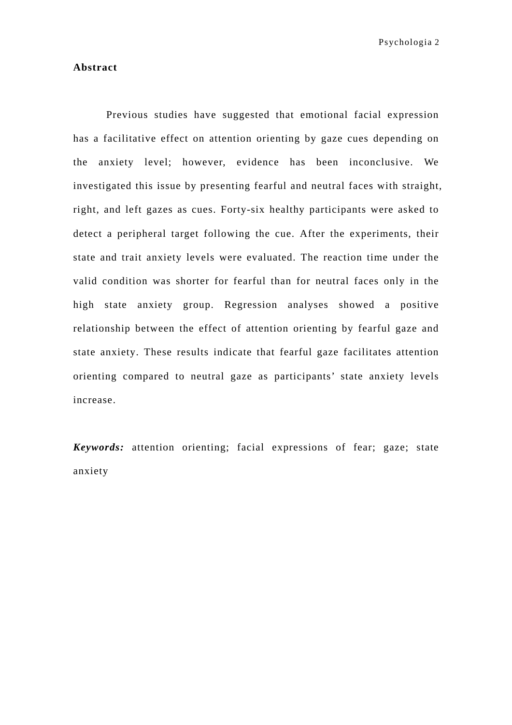#### **Abstract**

 Previous studies have suggested that emotional facial expression has a facilitative effect on attention orienting by gaze cues depending on the anxiety level; however, evidence has been inconclusive. We investigated this issue by presenting fearful and neutral faces with straight, right, and left gazes as cues. Forty-six healthy participants were asked to detect a peripheral target following the cue. After the experiments, their state and trait anxiety levels were evaluated. The reaction time under the valid condition was shorter for fearful than for neutral faces only in the high state anxiety group. Regression analyses showed a positive relationship between the effect of attention orienting by fearful gaze and state anxiety. These results indicate that fearful gaze facilitates attention orienting compared to neutral gaze as participants' state anxiety levels increase.

*Keywords:* attention orienting; facial expressions of fear; gaze; state anxiety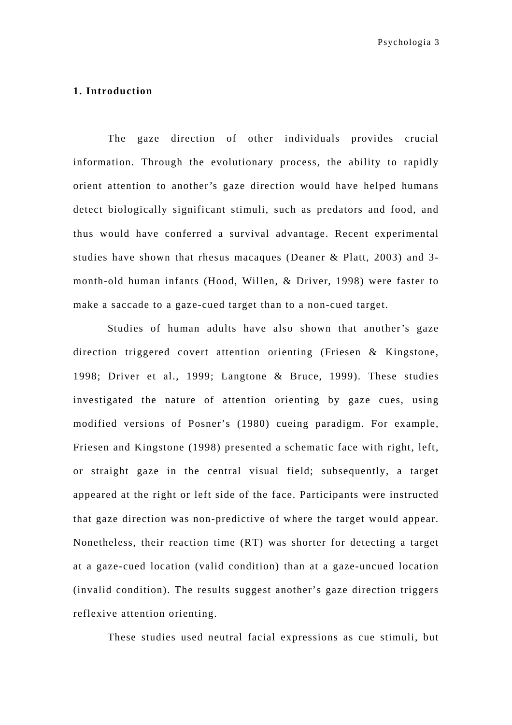## **1. Introduction**

The gaze direction of other individuals provides crucial information. Through the evolutionary process, the ability to rapidly orient attention to another's gaze direction would have helped humans detect biologically significant stimuli, such as predators and food, and thus would have conferred a survival advantage. Recent experimental studies have shown that rhesus macaques (Deaner & Platt, 2003) and 3 month-old human infants (Hood, Willen, & Driver, 1998) were faster to make a saccade to a gaze-cued target than to a non-cued target.

 Studies of human adults have also shown that another's gaze direction triggered covert attention orienting (Friesen & Kingstone, 1998; Driver et al., 1999; Langtone & Bruce, 1999). These studies investigated the nature of attention orienting by gaze cues, using modified versions of Posner's (1980) cueing paradigm. For example, Friesen and Kingstone (1998) presented a schematic face with right, left, or straight gaze in the central visual field; subsequently, a target appeared at the right or left side of the face. Participants were instructed that gaze direction was non-predictive of where the target would appear. Nonetheless, their reaction time (RT) was shorter for detecting a target at a gaze-cued location (valid condition) than at a gaze-uncued location (invalid condition). The results suggest another's gaze direction triggers reflexive attention orienting.

These studies used neutral facial expressions as cue stimuli, but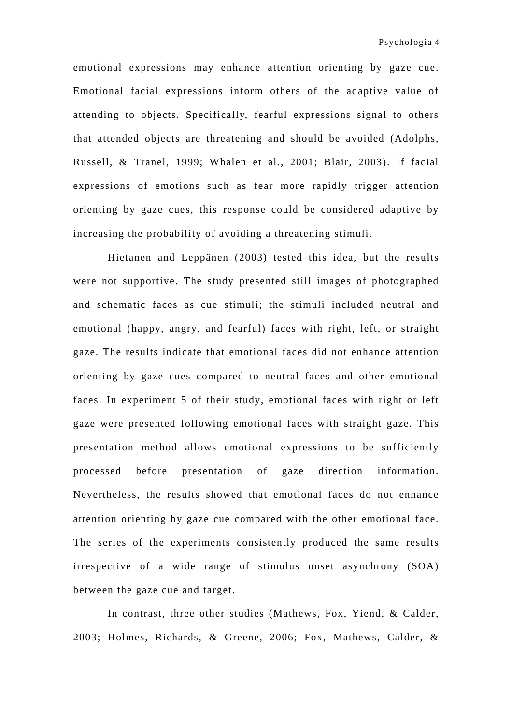emotional expressions may enhance attention orienting by gaze cue. Emotional facial expressions inform others of the adaptive value of attending to objects. Specifically, fearful expressions signal to others that attended objects are threatening and should be avoided (Adolphs, Russell, & Tranel, 1999; Whalen et al., 2001; Blair, 2003). If facial expressions of emotions such as fear more rapidly trigger attention orienting by gaze cues, this response could be considered adaptive by increasing the probability of avoiding a threatening stimuli.

 Hietanen and Leppänen (2003) tested this idea, but the results were not supportive. The study presented still images of photographed and schematic faces as cue stimuli; the stimuli included neutral and emotional (happy, angry, and fearful) faces with right, left, or straight gaze. The results indicate that emotional faces did not enhance attention orienting by gaze cues compared to neutral faces and other emotional faces. In experiment 5 of their study, emotional faces with right or left gaze were presented following emotional faces with straight gaze. This presentation method allows emotional expressions to be sufficiently processed before presentation of gaze direction information. Nevertheless, the results showed that emotional faces do not enhance attention orienting by gaze cue compared with the other emotional face. The series of the experiments consistently produced the same results irrespective of a wide range of stimulus onset asynchrony (SOA) between the gaze cue and target.

 In contrast, three other studies (Mathews, Fox, Yiend, & Calder, 2003; Holmes, Richards, & Greene, 2006; Fox, Mathews, Calder, &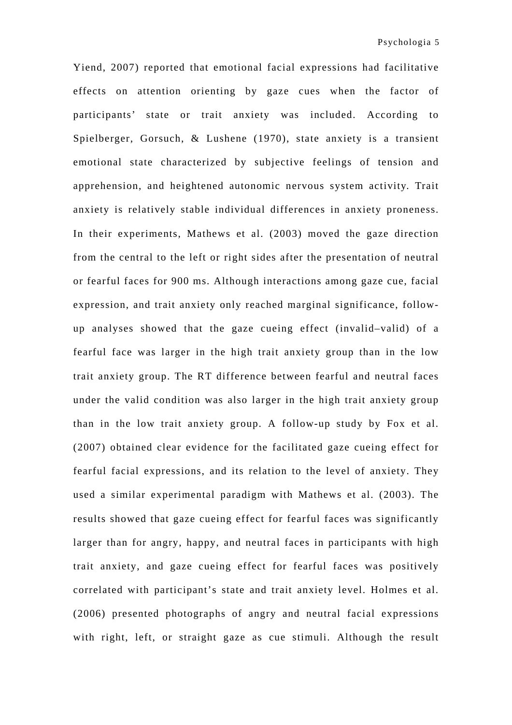Yiend, 2007) reported that emotional facial expressions had facilitative effects on attention orienting by gaze cues when the factor of participants' state or trait anxiety was included. According to Spielberger, Gorsuch, & Lushene (1970), state anxiety is a transient emotional state characterized by subjective feelings of tension and apprehension, and heightened autonomic nervous system activity. Trait anxiety is relatively stable individual differences in anxiety proneness. In their experiments, Mathews et al. (2003) moved the gaze direction from the central to the left or right sides after the presentation of neutral or fearful faces for 900 ms. Although interactions among gaze cue, facial expression, and trait anxiety only reached marginal significance, followup analyses showed that the gaze cueing effect (invalid–valid) of a fearful face was larger in the high trait anxiety group than in the low trait anxiety group. The RT difference between fearful and neutral faces under the valid condition was also larger in the high trait anxiety group than in the low trait anxiety group. A follow-up study by Fox et al. (2007) obtained clear evidence for the facilitated gaze cueing effect for fearful facial expressions, and its relation to the level of anxiety. They used a similar experimental paradigm with Mathews et al. (2003). The results showed that gaze cueing effect for fearful faces was significantly larger than for angry, happy, and neutral faces in participants with high trait anxiety, and gaze cueing effect for fearful faces was positively correlated with participant's state and trait anxiety level. Holmes et al. (2006) presented photographs of angry and neutral facial expressions with right, left, or straight gaze as cue stimuli. Although the result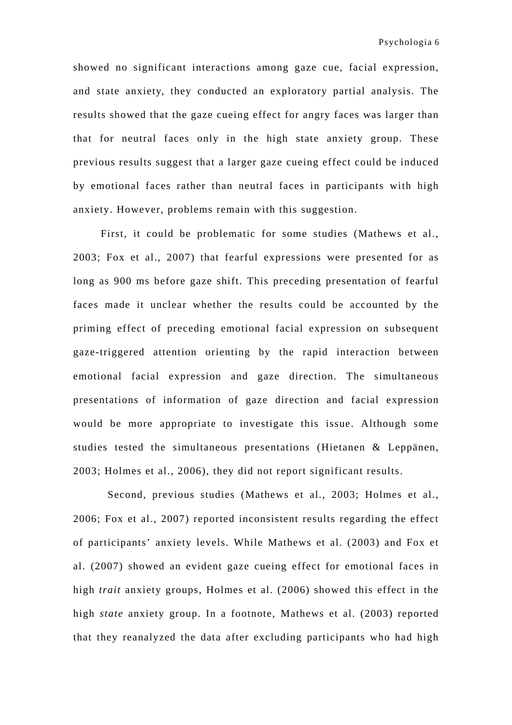showed no significant interactions among gaze cue, facial expression, and state anxiety, they conducted an exploratory partial analysis. The results showed that the gaze cueing effect for angry faces was larger than that for neutral faces only in the high state anxiety group. These previous results suggest that a larger gaze cueing effect could be induced by emotional faces rather than neutral faces in participants with high anxiety. However, problems remain with this suggestion.

 First, it could be problematic for some studies (Mathews et al., 2003; Fox et al., 2007) that fearful expressions were presented for as long as 900 ms before gaze shift. This preceding presentation of fearful faces made it unclear whether the results could be accounted by the priming effect of preceding emotional facial expression on subsequent gaze-triggered attention orienting by the rapid interaction between emotional facial expression and gaze direction. The simultaneous presentations of information of gaze direction and facial expression would be more appropriate to investigate this issue. Although some studies tested the simultaneous presentations (Hietanen & Leppänen, 2003; Holmes et al., 2006), they did not report significant results.

 Second, previous studies (Mathews et al., 2003; Holmes et al., 2006; Fox et al., 2007) reported inconsistent results regarding the effect of participants' anxiety levels. While Mathews et al. (2003) and Fox et al. (2007) showed an evident gaze cueing effect for emotional faces in high *trait* anxiety groups, Holmes et al. (2006) showed this effect in the high *state* anxiety group. In a footnote, Mathews et al. (2003) reported that they reanalyzed the data after excluding participants who had high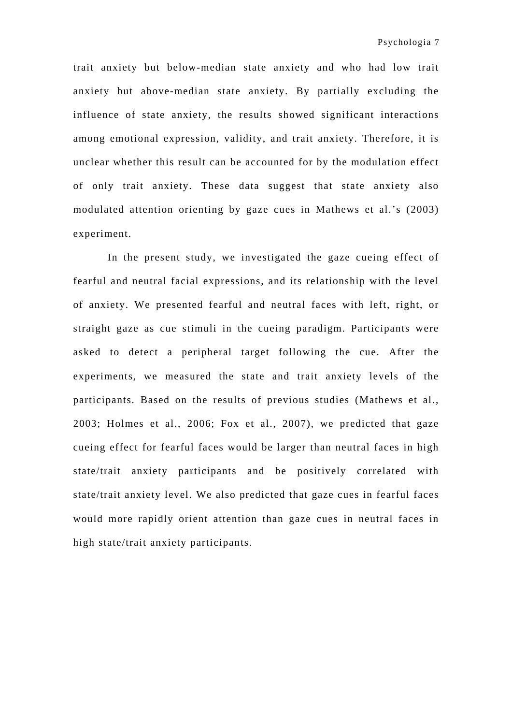trait anxiety but below-median state anxiety and who had low trait anxiety but above-median state anxiety. By partially excluding the influence of state anxiety, the results showed significant interactions among emotional expression, validity, and trait anxiety. Therefore, it is unclear whether this result can be accounted for by the modulation effect of only trait anxiety. These data suggest that state anxiety also modulated attention orienting by gaze cues in Mathews et al.'s (2003) experiment.

 In the present study, we investigated the gaze cueing effect of fearful and neutral facial expressions, and its relationship with the level of anxiety. We presented fearful and neutral faces with left, right, or straight gaze as cue stimuli in the cueing paradigm. Participants were asked to detect a peripheral target following the cue. After the experiments, we measured the state and trait anxiety levels of the participants. Based on the results of previous studies (Mathews et al., 2003; Holmes et al., 2006; Fox et al., 2007), we predicted that gaze cueing effect for fearful faces would be larger than neutral faces in high state/trait anxiety participants and be positively correlated with state/trait anxiety level. We also predicted that gaze cues in fearful faces would more rapidly orient attention than gaze cues in neutral faces in high state/trait anxiety participants.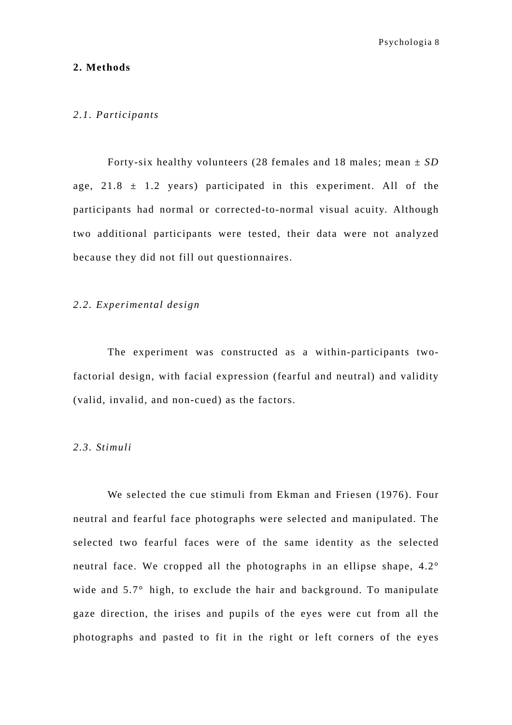#### **2. Methods**

#### *2.1. Participants*

Forty-six healthy volunteers (28 females and 18 males; mean ± *SD* age,  $21.8 \pm 1.2$  years) participated in this experiment. All of the participants had normal or corrected-to-normal visual acuity. Although two additional participants were tested, their data were not analyzed because they did not fill out questionnaires.

#### *2.2. Experimental design*

 The experiment was constructed as a within-participants twofactorial design, with facial expression (fearful and neutral) and validity (valid, invalid, and non-cued) as the factors.

## *2.3. Stimuli*

 We selected the cue stimuli from Ekman and Friesen (1976). Four neutral and fearful face photographs were selected and manipulated. The selected two fearful faces were of the same identity as the selected neutral face. We cropped all the photographs in an ellipse shape, 4.2° wide and 5.7° high, to exclude the hair and background. To manipulate gaze direction, the irises and pupils of the eyes were cut from all the photographs and pasted to fit in the right or left corners of the eyes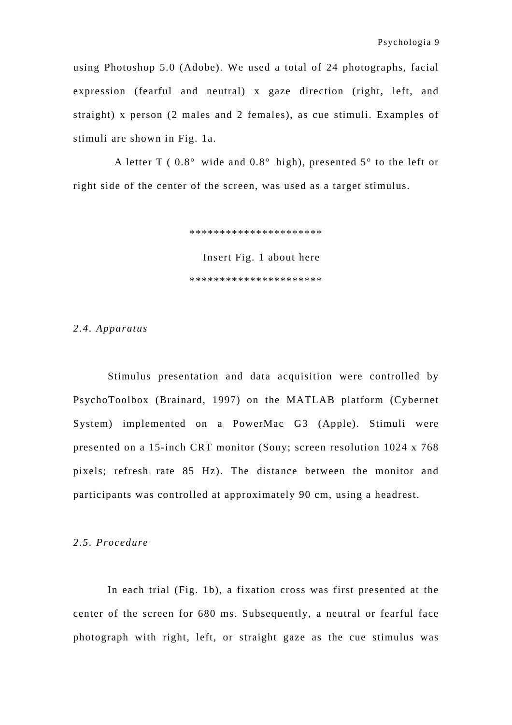using Photoshop 5.0 (Adobe). We used a total of 24 photographs, facial expression (fearful and neutral) x gaze direction (right, left, and straight) x person (2 males and 2 females), as cue stimuli. Examples of stimuli are shown in Fig. 1a.

A letter T ( $0.8^{\circ}$  wide and  $0.8^{\circ}$  high), presented  $5^{\circ}$  to the left or right side of the center of the screen, was used as a target stimulus.

\*\*\*\*\*\*\*\*\*\*\*\*\*\*\*\*\*\*\*\*\*\*

Insert Fig. 1 about here \*\*\*\*\*\*\*\*\*\*\*\*\*\*\*\*\*\*\*\*\*\*

#### *2.4. Apparatus*

 Stimulus presentation and data acquisition were controlled by PsychoToolbox (Brainard, 1997) on the MATLAB platform (Cybernet System) implemented on a PowerMac G3 (Apple). Stimuli were presented on a 15-inch CRT monitor (Sony; screen resolution 1024 x 768 pixels; refresh rate 85 Hz). The distance between the monitor and participants was controlled at approximately 90 cm, using a headrest.

#### *2.5. Procedure*

 In each trial (Fig. 1b), a fixation cross was first presented at the center of the screen for 680 ms. Subsequently, a neutral or fearful face photograph with right, left, or straight gaze as the cue stimulus was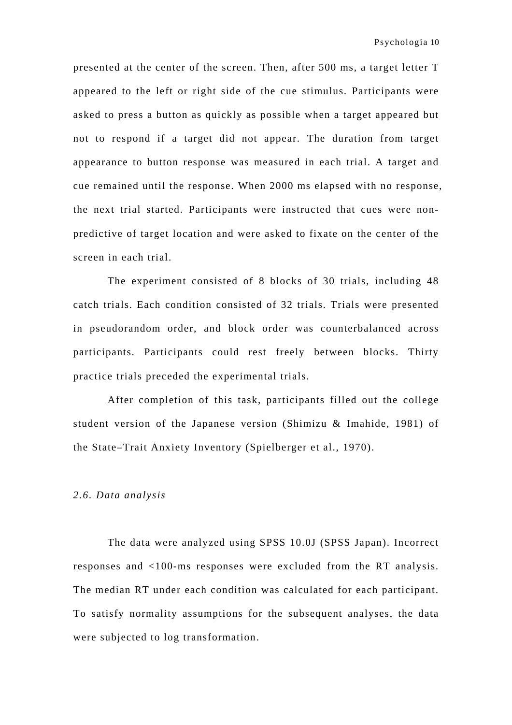presented at the center of the screen. Then, after 500 ms, a target letter T appeared to the left or right side of the cue stimulus. Participants were asked to press a button as quickly as possible when a target appeared but not to respond if a target did not appear. The duration from target appearance to button response was measured in each trial. A target and cue remained until the response. When 2000 ms elapsed with no response, the next trial started. Participants were instructed that cues were nonpredictive of target location and were asked to fixate on the center of the screen in each trial.

 The experiment consisted of 8 blocks of 30 trials, including 48 catch trials. Each condition consisted of 32 trials. Trials were presented in pseudorandom order, and block order was counterbalanced across participants. Participants could rest freely between blocks. Thirty practice trials preceded the experimental trials.

After completion of this task, participants filled out the college student version of the Japanese version (Shimizu & Imahide, 1981) of the State–Trait Anxiety Inventory (Spielberger et al., 1970).

#### *2.6. Data analysis*

The data were analyzed using SPSS 10.0J (SPSS Japan). Incorrect responses and <100-ms responses were excluded from the RT analysis. The median RT under each condition was calculated for each participant. To satisfy normality assumptions for the subsequent analyses, the data were subjected to log transformation.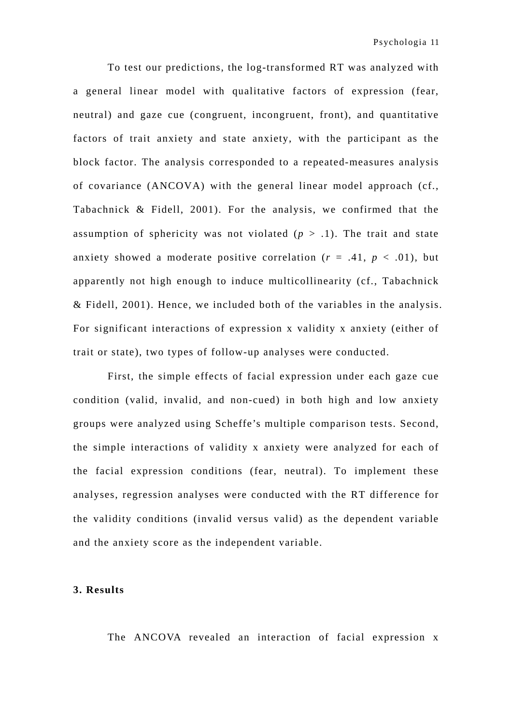To test our predictions, the log-transformed RT was analyzed with a general linear model with qualitative factors of expression (fear, neutral) and gaze cue (congruent, incongruent, front), and quantitative factors of trait anxiety and state anxiety, with the participant as the block factor. The analysis corresponded to a repeated-measures analysis of covariance (ANCOVA) with the general linear model approach (cf., Tabachnick & Fidell, 2001). For the analysis, we confirmed that the assumption of sphericity was not violated  $(p > 0.1)$ . The trait and state anxiety showed a moderate positive correlation  $(r = .41, p < .01)$ , but apparently not high enough to induce multicollinearity (cf., Tabachnick & Fidell, 2001). Hence, we included both of the variables in the analysis. For significant interactions of expression x validity x anxiety (either of trait or state), two types of follow-up analyses were conducted.

 First, the simple effects of facial expression under each gaze cue condition (valid, invalid, and non-cued) in both high and low anxiety groups were analyzed using Scheffe's multiple comparison tests. Second, the simple interactions of validity x anxiety were analyzed for each of the facial expression conditions (fear, neutral). To implement these analyses, regression analyses were conducted with the RT difference for the validity conditions (invalid versus valid) as the dependent variable and the anxiety score as the independent variable.

## **3. Results**

The ANCOVA revealed an interaction of facial expression x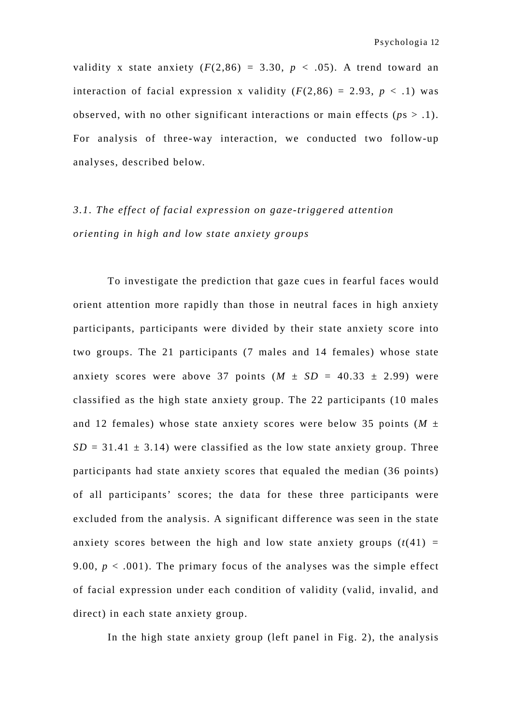validity x state anxiety  $(F(2,86) = 3.30, p < .05)$ . A trend toward an interaction of facial expression x validity  $(F(2,86) = 2.93, p < .1)$  was observed, with no other significant interactions or main effects ( $ps > .1$ ). For analysis of three-way interaction, we conducted two follow-up analyses, described below.

# *3.1. The effect of facial expression on gaze-triggered attention orienting in high and low state anxiety groups*

 To investigate the prediction that gaze cues in fearful faces would orient attention more rapidly than those in neutral faces in high anxiety participants, participants were divided by their state anxiety score into two groups. The 21 participants (7 males and 14 females) whose state anxiety scores were above 37 points  $(M \pm SD = 40.33 \pm 2.99)$  were classified as the high state anxiety group. The 22 participants (10 males and 12 females) whose state anxiety scores were below 35 points  $(M \pm$  $SD = 31.41 \pm 3.14$ ) were classified as the low state anxiety group. Three participants had state anxiety scores that equaled the median (36 points) of all participants' scores; the data for these three participants were excluded from the analysis. A significant difference was seen in the state anxiety scores between the high and low state anxiety groups  $(t(41)$  = 9.00,  $p < .001$ ). The primary focus of the analyses was the simple effect of facial expression under each condition of validity (valid, invalid, and direct) in each state anxiety group.

In the high state anxiety group (left panel in Fig. 2), the analysis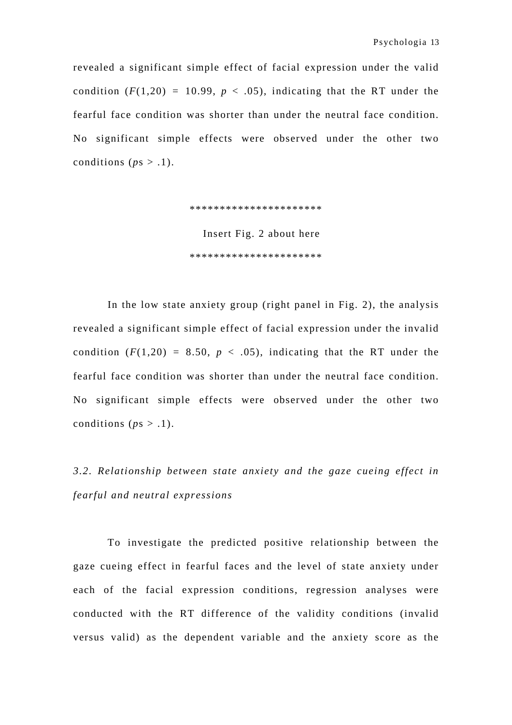revealed a significant simple effect of facial expression under the valid condition  $(F(1,20) = 10.99, p < .05)$ , indicating that the RT under the fearful face condition was shorter than under the neutral face condition. No significant simple effects were observed under the other two conditions ( $ps > .1$ ).

> \*\*\*\*\*\*\*\*\*\*\*\*\*\*\*\*\*\*\*\*\*\* Insert Fig. 2 about here \*\*\*\*\*\*\*\*\*\*\*\*\*\*\*\*\*\*\*\*\*\*

 In the low state anxiety group (right panel in Fig. 2), the analysis revealed a significant simple effect of facial expression under the invalid condition  $(F(1,20) = 8.50, p < .05)$ , indicating that the RT under the fearful face condition was shorter than under the neutral face condition. No significant simple effects were observed under the other two conditions ( $ps > .1$ ).

*3.2. Relationship between state anxiety and the gaze cueing effect in fearful and neutral expressions* 

 To investigate the predicted positive relationship between the gaze cueing effect in fearful faces and the level of state anxiety under each of the facial expression conditions, regression analyses were conducted with the RT difference of the validity conditions (invalid versus valid) as the dependent variable and the anxiety score as the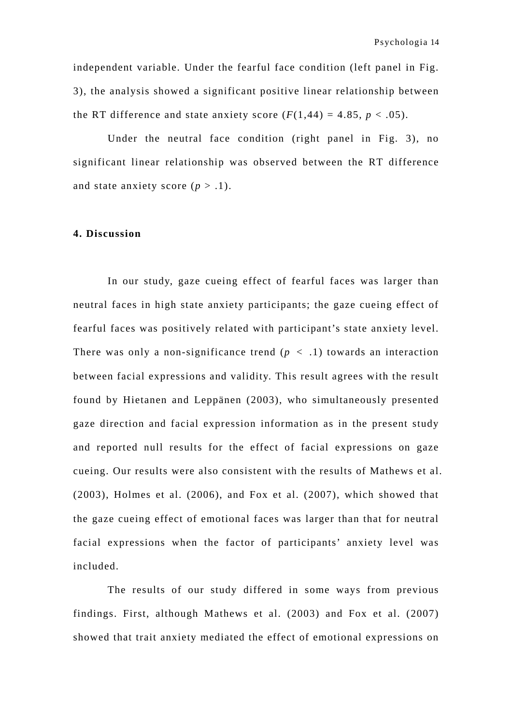independent variable. Under the fearful face condition (left panel in Fig. 3), the analysis showed a significant positive linear relationship between the RT difference and state anxiety score  $(F(1,44) = 4.85, p < .05)$ .

 Under the neutral face condition (right panel in Fig. 3), no significant linear relationship was observed between the RT difference and state anxiety score  $(p > 0.1)$ .

## **4. Discussion**

 In our study, gaze cueing effect of fearful faces was larger than neutral faces in high state anxiety participants; the gaze cueing effect of fearful faces was positively related with participant's state anxiety level. There was only a non-significance trend  $(p < .1)$  towards an interaction between facial expressions and validity. This result agrees with the result found by Hietanen and Leppänen (2003), who simultaneously presented gaze direction and facial expression information as in the present study and reported null results for the effect of facial expressions on gaze cueing. Our results were also consistent with the results of Mathews et al. (2003), Holmes et al. (2006), and Fox et al. (2007), which showed that the gaze cueing effect of emotional faces was larger than that for neutral facial expressions when the factor of participants' anxiety level was included.

The results of our study differed in some ways from previous findings. First, although Mathews et al. (2003) and Fox et al. (2007) showed that trait anxiety mediated the effect of emotional expressions on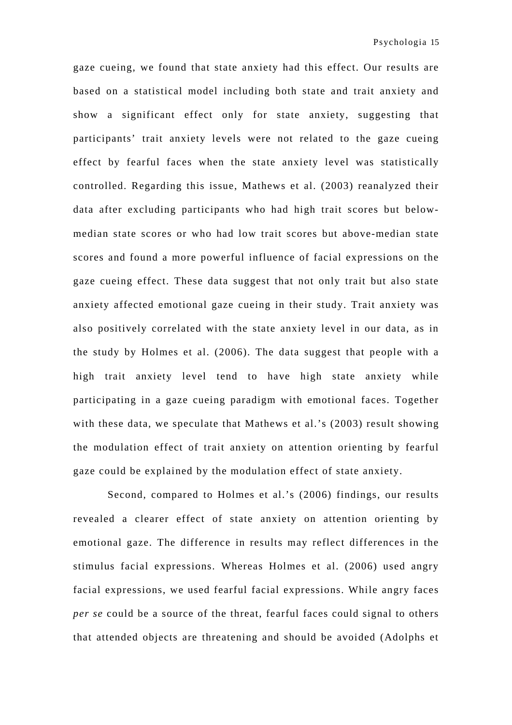gaze cueing, we found that state anxiety had this effect. Our results are based on a statistical model including both state and trait anxiety and show a significant effect only for state anxiety, suggesting that participants' trait anxiety levels were not related to the gaze cueing effect by fearful faces when the state anxiety level was statistically controlled. Regarding this issue, Mathews et al. (2003) reanalyzed their data after excluding participants who had high trait scores but belowmedian state scores or who had low trait scores but above-median state scores and found a more powerful influence of facial expressions on the gaze cueing effect. These data suggest that not only trait but also state anxiety affected emotional gaze cueing in their study. Trait anxiety was also positively correlated with the state anxiety level in our data, as in the study by Holmes et al. (2006). The data suggest that people with a high trait anxiety level tend to have high state anxiety while participating in a gaze cueing paradigm with emotional faces. Together with these data, we speculate that Mathews et al.'s (2003) result showing the modulation effect of trait anxiety on attention orienting by fearful gaze could be explained by the modulation effect of state anxiety.

 Second, compared to Holmes et al.'s (2006) findings, our results revealed a clearer effect of state anxiety on attention orienting by emotional gaze. The difference in results may reflect differences in the stimulus facial expressions. Whereas Holmes et al. (2006) used angry facial expressions, we used fearful facial expressions. While angry faces *per se* could be a source of the threat, fearful faces could signal to others that attended objects are threatening and should be avoided (Adolphs et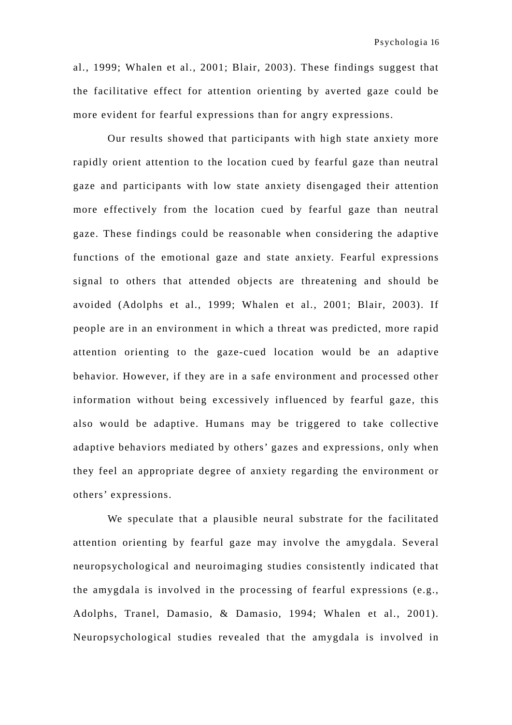al., 1999; Whalen et al., 2001; Blair, 2003). These findings suggest that the facilitative effect for attention orienting by averted gaze could be more evident for fearful expressions than for angry expressions.

Our results showed that participants with high state anxiety more rapidly orient attention to the location cued by fearful gaze than neutral gaze and participants with low state anxiety disengaged their attention more effectively from the location cued by fearful gaze than neutral gaze. These findings could be reasonable when considering the adaptive functions of the emotional gaze and state anxiety. Fearful expressions signal to others that attended objects are threatening and should be avoided (Adolphs et al., 1999; Whalen et al., 2001; Blair, 2003). If people are in an environment in which a threat was predicted, more rapid attention orienting to the gaze-cued location would be an adaptive behavior. However, if they are in a safe environment and processed other information without being excessively influenced by fearful gaze, this also would be adaptive. Humans may be triggered to take collective adaptive behaviors mediated by others' gazes and expressions, only when they feel an appropriate degree of anxiety regarding the environment or others' expressions.

 We speculate that a plausible neural substrate for the facilitated attention orienting by fearful gaze may involve the amygdala. Several neuropsychological and neuroimaging studies consistently indicated that the amygdala is involved in the processing of fearful expressions (e.g., Adolphs, Tranel, Damasio, & Damasio, 1994; Whalen et al., 2001). Neuropsychological studies revealed that the amygdala is involved in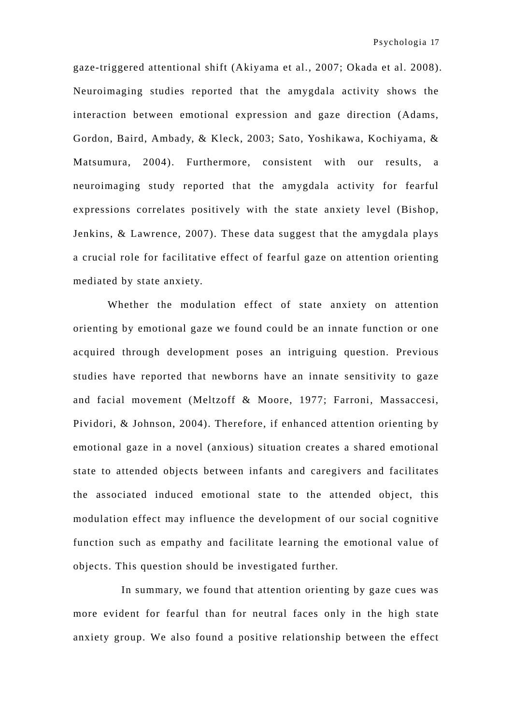gaze-triggered attentional shift (Akiyama et al., 2007; Okada et al. 2008). Neuroimaging studies reported that the amygdala activity shows the interaction between emotional expression and gaze direction (Adams, Gordon, Baird, Ambady, & Kleck, 2003; Sato, Yoshikawa, Kochiyama, & Matsumura, 2004). Furthermore, consistent with our results, a neuroimaging study reported that the amygdala activity for fearful expressions correlates positively with the state anxiety level (Bishop, Jenkins, & Lawrence, 2007). These data suggest that the amygdala plays a crucial role for facilitative effect of fearful gaze on attention orienting mediated by state anxiety.

 Whether the modulation effect of state anxiety on attention orienting by emotional gaze we found could be an innate function or one acquired through development poses an intriguing question. Previous studies have reported that newborns have an innate sensitivity to gaze and facial movement (Meltzoff & Moore, 1977; Farroni, Massaccesi, Pividori, & Johnson, 2004). Therefore, if enhanced attention orienting by emotional gaze in a novel (anxious) situation creates a shared emotional state to attended objects between infants and caregivers and facilitates the associated induced emotional state to the attended object, this modulation effect may influence the development of our social cognitive function such as empathy and facilitate learning the emotional value of objects. This question should be investigated further.

 In summary, we found that attention orienting by gaze cues was more evident for fearful than for neutral faces only in the high state anxiety group. We also found a positive relationship between the effect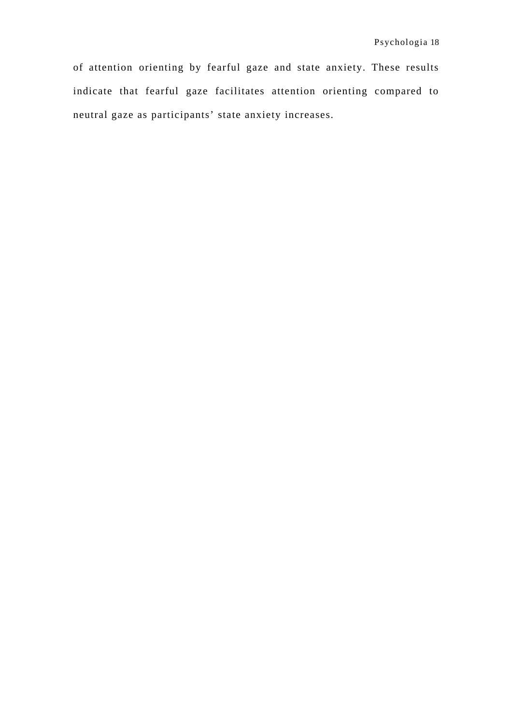of attention orienting by fearful gaze and state anxiety. These results indicate that fearful gaze facilitates attention orienting compared to neutral gaze as participants' state anxiety increases.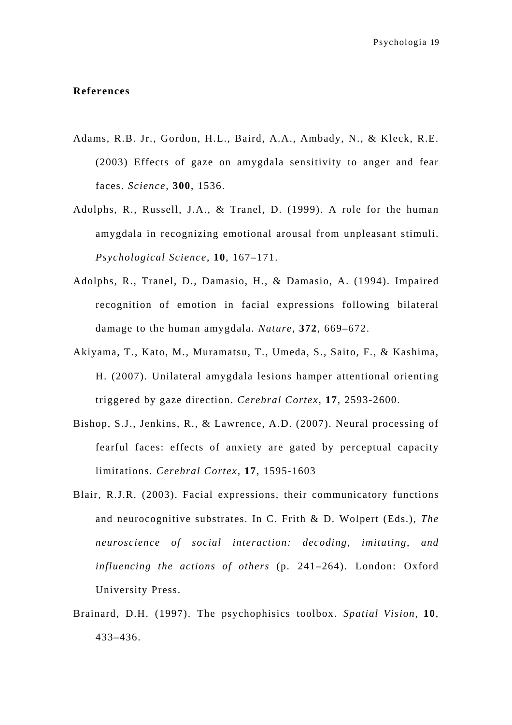#### **References**

- Adams, R.B. Jr., Gordon, H.L., Baird, A.A., Ambady, N., & Kleck, R.E. (2003) Effects of gaze on amygdala sensitivity to anger and fear faces. *Science,* **300**, 1536.
- Adolphs, R., Russell, J.A., & Tranel, D. (1999). A role for the human amygdala in recognizing emotional arousal from unpleasant stimuli. *Psychological Science*, **10**, 167–171.
- Adolphs, R., Tranel, D., Damasio, H., & Damasio, A. (1994). Impaired recognition of emotion in facial expressions following bilateral damage to the human amygdala. *Nature*, **372**, 669–672.
- Akiyama, T., Kato, M., Muramatsu, T., Umeda, S., Saito, F., & Kashima, H. (2007). Unilateral amygdala lesions hamper attentional orienting triggered by gaze direction. *Cerebral Cortex,* **17**, 2593-2600.
- Bishop, S.J., Jenkins, R., & Lawrence, A.D. (2007). Neural processing of fearful faces: effects of anxiety are gated by perceptual capacity limitations. *Cerebral Cortex,* **17**, 1595-1603
- Blair, R.J.R. (2003). Facial expressions, their communicatory functions and neurocognitive substrates. In C. Frith & D. Wolpert (Eds.), *The neuroscience of social interaction: decoding, imitating, and influencing the actions of others* (p. 241–264). London: Oxford University Press.
- Brainard, D.H. (1997). The psychophisics toolbox. *Spatial Vision*, **10**, 433–436.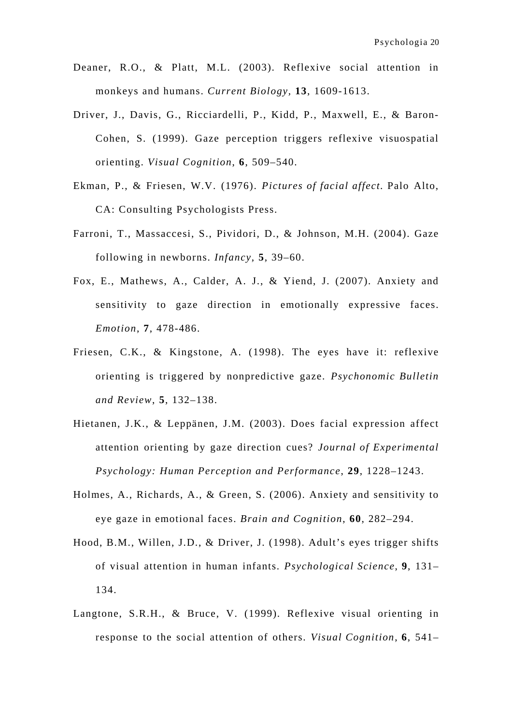- Deaner, R.O., & Platt, M.L. (2003). Reflexive social attention in monkeys and humans. *Current Biology,* **13**, 1609-1613.
- Driver, J., Davis, G., Ricciardelli, P., Kidd, P., Maxwell, E., & Baron-Cohen, S. (1999). Gaze perception triggers reflexive visuospatial orienting. *Visual Cognition*, **6**, 509–540.
- Ekman, P., & Friesen, W.V. (1976). *Pictures of facial affect.* Palo Alto, CA: Consulting Psychologists Press.
- Farroni, T., Massaccesi, S., Pividori, D., & Johnson, M.H. (2004). Gaze following in newborns. *Infancy*, **5**, 39–60.
- Fox, E., Mathews, A., Calder, A. J., & Yiend, J. (2007). Anxiety and sensitivity to gaze direction in emotionally expressive faces. *Emotion*, **7**, 478-486.
- Friesen, C.K., & Kingstone, A. (1998). The eyes have it: reflexive orienting is triggered by nonpredictive gaze. *Psychonomic Bulletin and Review*, **5**, 132–138.
- Hietanen, J.K., & Leppänen, J.M. (2003). Does facial expression affect attention orienting by gaze direction cues? *Journal of Experimental Psychology: Human Perception and Performance*, **29**, 1228–1243.
- Holmes, A., Richards, A., & Green, S. (2006). Anxiety and sensitivity to eye gaze in emotional faces. *Brain and Cognition*, **60**, 282–294.
- Hood, B.M., Willen, J.D., & Driver, J. (1998). Adult's eyes trigger shifts of visual attention in human infants. *Psychological Science*, **9**, 131– 134.
- Langtone, S.R.H., & Bruce, V. (1999). Reflexive visual orienting in response to the social attention of others. *Visual Cognition*, **6**, 541–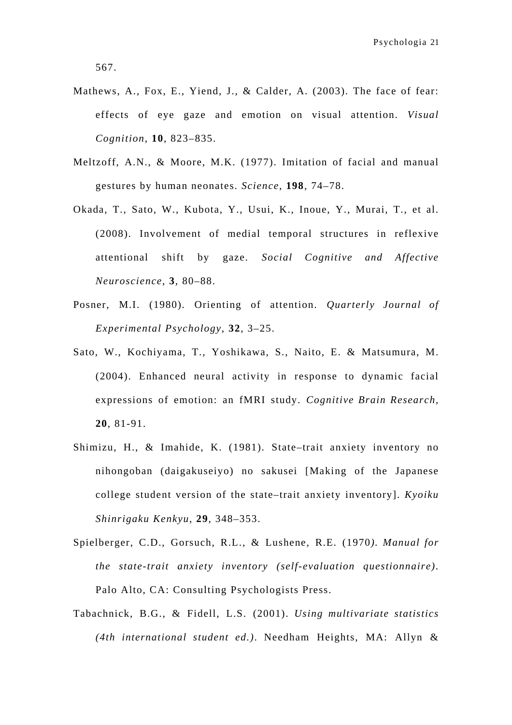567.

- Mathews, A., Fox, E., Yiend, J., & Calder, A. (2003). The face of fear: effects of eye gaze and emotion on visual attention. *Visual Cognition*, **10**, 823–835.
- Meltzoff, A.N., & Moore, M.K. (1977). Imitation of facial and manual gestures by human neonates. *Science*, **198**, 74–78.
- Okada, T., Sato, W., Kubota, Y., Usui, K., Inoue, Y., Murai, T., et al. (2008). Involvement of medial temporal structures in reflexive attentional shift by gaze. *Social Cognitive and Affective Neuroscience*, **3**, 80–88.
- Posner, M.I. (1980). Orienting of attention. *Quarterly Journal of Experimental Psychology*, **32**, 3–25.
- Sato, W., Kochiyama, T., Yoshikawa, S., Naito, E. & Matsumura, M. (2004). Enhanced neural activity in response to dynamic facial expressions of emotion: an fMRI study. *Cognitive Brain Research,*  **20**, 81-91.
- Shimizu, H., & Imahide, K. (1981). State–trait anxiety inventory no nihongoban (daigakuseiyo) no sakusei [Making of the Japanese college student version of the state–trait anxiety inventory]. *Kyoiku Shinrigaku Kenkyu*, **29**, 348–353.
- Spielberger, C.D., Gorsuch, R.L., & Lushene, R.E. (1970*). Manual for the state-trait anxiety inventory (self-evaluation questionnaire)*. Palo Alto, CA: Consulting Psychologists Press.
- Tabachnick, B.G., & Fidell, L.S. (2001). *Using multivariate statistics (4th international student ed.)*. Needham Heights, MA: Allyn &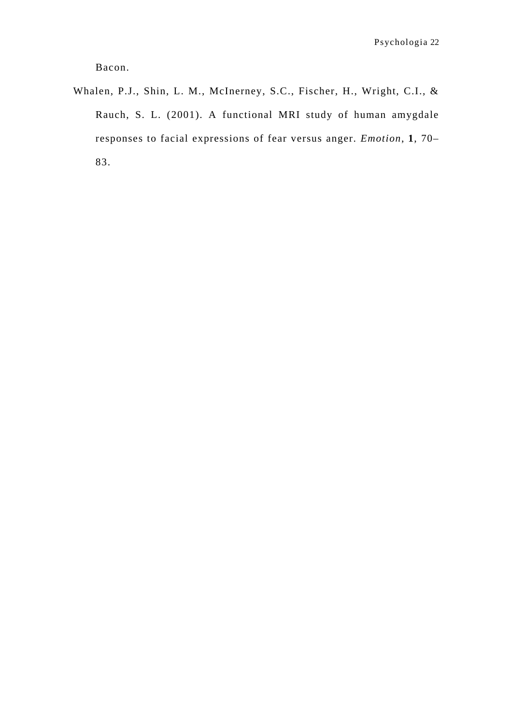Bacon.

Whalen, P.J., Shin, L. M., McInerney, S.C., Fischer, H., Wright, C.I., & Rauch, S. L. (2001). A functional MRI study of human amygdale responses to facial expressions of fear versus anger. *Emotion*, **1**, 70– 83.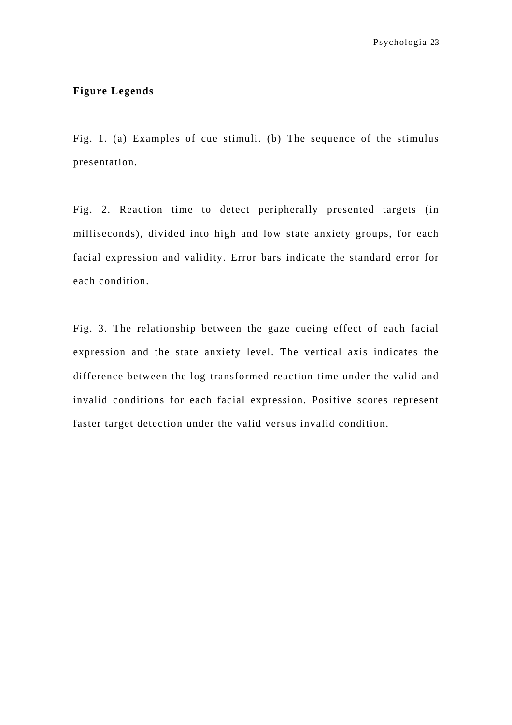## **Figure Legends**

Fig. 1. (a) Examples of cue stimuli. (b) The sequence of the stimulus presentation.

Fig. 2. Reaction time to detect peripherally presented targets (in milliseconds), divided into high and low state anxiety groups, for each facial expression and validity. Error bars indicate the standard error for each condition.

Fig. 3. The relationship between the gaze cueing effect of each facial expression and the state anxiety level. The vertical axis indicates the difference between the log-transformed reaction time under the valid and invalid conditions for each facial expression. Positive scores represent faster target detection under the valid versus invalid condition.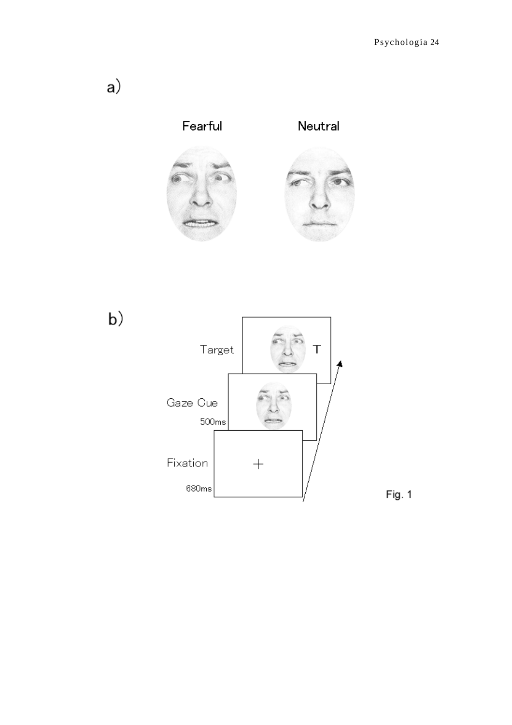



Fig. 1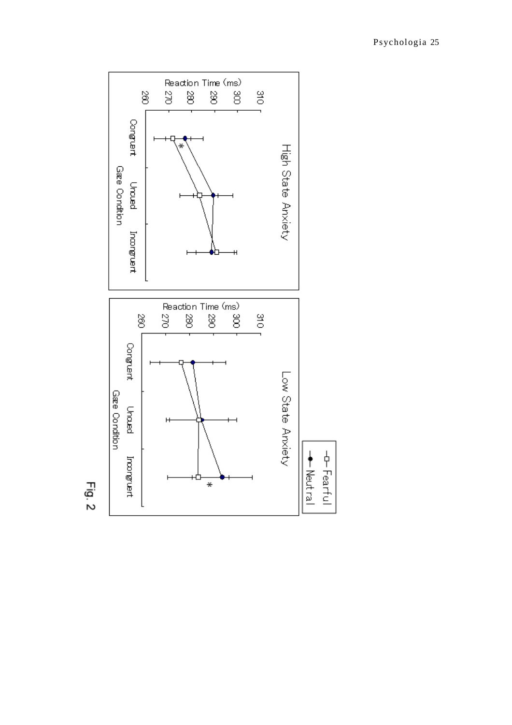

 $Fig. 2$